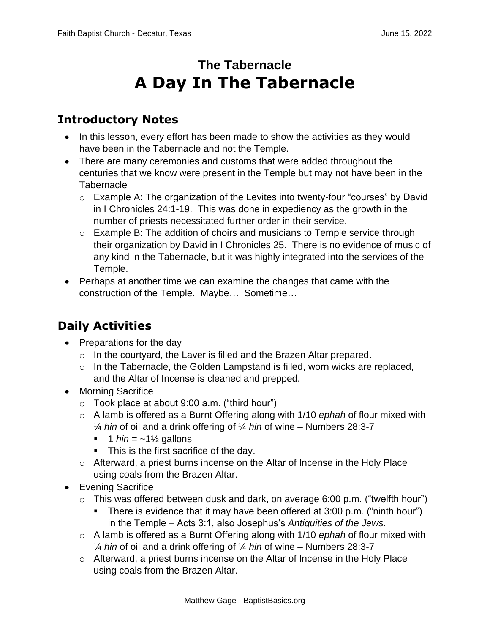# **The Tabernacle A Day In The Tabernacle**

#### **Introductory Notes**

- In this lesson, every effort has been made to show the activities as they would have been in the Tabernacle and not the Temple.
- There are many ceremonies and customs that were added throughout the centuries that we know were present in the Temple but may not have been in the **Tabernacle** 
	- o Example A: The organization of the Levites into twenty-four "courses" by David in I Chronicles 24:1-19. This was done in expediency as the growth in the number of priests necessitated further order in their service.
	- o Example B: The addition of choirs and musicians to Temple service through their organization by David in I Chronicles 25. There is no evidence of music of any kind in the Tabernacle, but it was highly integrated into the services of the Temple.
- Perhaps at another time we can examine the changes that came with the construction of the Temple. Maybe… Sometime…

### **Daily Activities**

- Preparations for the day
	- o In the courtyard, the Laver is filled and the Brazen Altar prepared.
	- o In the Tabernacle, the Golden Lampstand is filled, worn wicks are replaced, and the Altar of Incense is cleaned and prepped.
- Morning Sacrifice
	- $\circ$  Took place at about 9:00 a.m. ("third hour")
	- o A lamb is offered as a Burnt Offering along with 1/10 *ephah* of flour mixed with ¼ *hin* of oil and a drink offering of ¼ *hin* of wine – Numbers 28:3-7
		- $\blacksquare$  1 *hin* = ~1½ gallons
		- This is the first sacrifice of the day.
	- o Afterward, a priest burns incense on the Altar of Incense in the Holy Place using coals from the Brazen Altar.
- Evening Sacrifice
	- $\circ$  This was offered between dusk and dark, on average 6:00 p.m. ("twelfth hour")
		- There is evidence that it may have been offered at 3:00 p.m. ("ninth hour") in the Temple – Acts 3:1, also Josephus's *Antiquities of the Jews*.
	- o A lamb is offered as a Burnt Offering along with 1/10 *ephah* of flour mixed with ¼ *hin* of oil and a drink offering of ¼ *hin* of wine – Numbers 28:3-7
	- o Afterward, a priest burns incense on the Altar of Incense in the Holy Place using coals from the Brazen Altar.